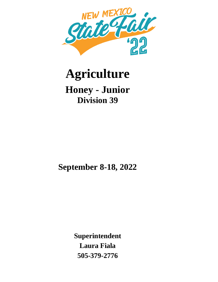

# **Agriculture**

# **Honey - Junior Division 39**

**September 8-18, 2022**

**Superintendent Laura Fiala 505-379-2776**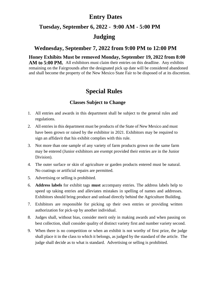### **Entry Dates**

#### **Tuesday, September 6, 2022 - 9:00 AM - 5:00 PM**

### **Judging**

### **Wednesday, September 7, 2022 from 9:00 PM to 12:00 PM**

**Honey Exhibits Must be removed Monday, September 19, 2022 from 8:00**  AM to 5:00 PM. All exhibitors must claim their entries on this deadline. Any exhibits remaining on the Fairgrounds after the designated pick up date will be considered abandoned and shall become the property of the New Mexico State Fair to be disposed of at its discretion.

### **Special Rules**

### **Classes Subject to Change**

- 1. All entries and awards in this department shall be subject to the general rules and regulations.
- 2. All entries in this department must be products of the State of New Mexico and must have been grown or raised by the exhibitor in 2021. Exhibitors may be required to sign an affidavit that his exhibit complies with this rule.
- 3. Not more than one sample of any variety of farm products grown on the same farm may be entered (Junior exhibitors are exempt provided their entries are in the Junior Division).
- 4. The outer surface or skin of agriculture or garden products entered must be natural. No coatings or artificial repairs are permitted.
- 5. Advertising or selling is prohibited.
- 6. **Address labels** for exhibit tags **must** accompany entries. The address labels help to speed up taking entries and alleviates mistakes in spelling of names and addresses. Exhibitors should bring produce and unload directly behind the Agriculture Building.
- 7. Exhibitors are responsible for picking up their own entries or providing written authorization for pick-up by another individual.
- 8. Judges shall, without bias, consider merit only in making awards and when passing on best collection, shall consider quality of distinct variety first and number variety second.
- 9. When there is no competition or when an exhibit is not worthy of first prize, the judge shall place it in the class to which it belongs, as judged by the standard of the article. The judge shall decide as to what is standard. Advertising or selling is prohibited.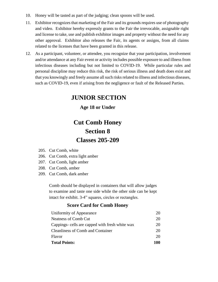- 10. Honey will be tasted as part of the judging; clean spoons will be used.
- 11. Exhibitor recognizes that marketing of the Fair and its grounds requires use of photography and video. Exhibitor hereby expressly grants to the Fair the irrevocable, assignable right and license to take, use and publish exhibitor images and property without the need for any other approval. Exhibitor also releases the Fair, its agents or assigns, from all claims related to the licenses that have been granted in this release.
- 12. As a participant, volunteer, or attendee, you recognize that your participation, involvement and/or attendance at any Fair event or activity includes possible exposure to and illness from infectious diseases including but not limited to COVID-19. While particular rules and personal discipline may reduce this risk, the risk of serious illness and death does exist and that you knowingly and freely assume all such risks related to illness and infectious diseases, such as COVID-19, even if arising from the negligence or fault of the Released Parties.

### **JUNIOR SECTION**

**Age 18 or Under**

# **Cut Comb Honey Section 8 Classes 205-209**

- 205. Cut Comb, white
- 206. Cut Comb, extra light amber
- 207. Cut Comb, light amber
- 208. Cut Comb, amber
- 209. Cut Comb, dark amber

Comb should be displayed in containers that will allow judges to examine and taste one side while the other side can be kept intact for exhibit. 3-4" squares, circles or rectangles.

#### **Score Card for Comb Honey**

| <b>Total Points:</b>                            | 100 |
|-------------------------------------------------|-----|
| Flavor                                          | 20  |
| <b>Cleanliness of Comb and Container</b>        | 20  |
| Cappings- cells are capped with fresh white wax | 20  |
| Neatness of Comb Cut                            | 20  |
| Uniformity of Appearance                        | 20  |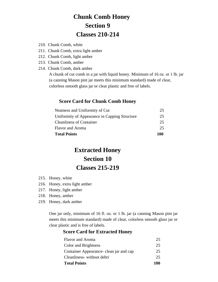# **Chunk Comb Honey Section 9 Classes 210-214**

- 210. Chunk Comb, white
- 211. Chunk Comb, extra light amber
- 212. Chunk Comb, light amber
- 213. Chunk Comb, amber
- 214. Chunk Comb, dark amber

A chunk of cut comb in a jar with liquid honey. Minimum of 16 oz. or 1 lb. jar (a canning Mason pint jar meets this minimum standard) made of clear, colorless smooth glass jar or clear plastic and free of labels.

#### **Score Card for Chunk Comb Honey**

| <b>Total Points</b>                           | 100 |
|-----------------------------------------------|-----|
| <b>Flavor and Aroma</b>                       | 25  |
| <b>Cleanliness of Container</b>               | 25  |
| Uniformity of Appearance in Capping Structure | 25  |
| Neatness and Uniformity of Cut                | 25  |

## **Extracted Honey Section 10 Classes 215-219**

- 215. Honey, white
- 216. Honey, extra light amber
- 217. Honey, light amber
- 218. Honey, amber
- 219. Honey, dark amber

One jar only, minimum of 16 fl. oz. or 1 lb. jar (a canning Mason pint jar meets this minimum standard) made of clear, colorless smooth glass jar or clear plastic and is free of labels.

#### **Score Card for Extracted Honey**

| <b>Total Points</b>                     | 100 |
|-----------------------------------------|-----|
| Cleanliness-without debri               | 25  |
| Container Appearance- clean jar and cap | 25  |
| Color and Brightness                    | 25  |
| <b>Flavor and Aroma</b>                 | 25  |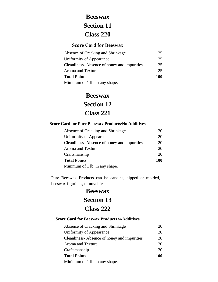# **Beeswax Section 11 Class 220**

#### **Score Card for Beeswax**

| Absence of Cracking and Shrinkage           | 25  |
|---------------------------------------------|-----|
| Uniformity of Appearance                    | 25  |
| Cleanliness-Absence of honey and impurities | 25  |
| Aroma and Texture                           | 25  |
| <b>Total Points:</b>                        | 100 |
| Minimum of 1 lb. in any shape.              |     |

## **Beeswax Section 12 Class 221**

#### **Score Card for Pure Beeswax Products/No Additives**

| Absence of Cracking and Shrinkage           | 20         |
|---------------------------------------------|------------|
| Uniformity of Appearance                    | 20         |
| Cleanliness-Absence of honey and impurities | 20         |
| <b>Aroma and Texture</b>                    | 20         |
| Craftsmanship                               | 20         |
| <b>Total Points:</b>                        | <b>100</b> |
| Minimum of 1 lb. in any shape.              |            |

Pure Beeswax Products can be candles, dipped or molded, beeswax figurines, or novelties

### **Beeswax Section 13 Class 222**

#### **Score Card for Beeswax Products w/Additives**

| Absence of Cracking and Shrinkage           | 20         |
|---------------------------------------------|------------|
| Uniformity of Appearance                    | 20         |
| Cleanliness-Absence of honey and impurities | 20         |
| Aroma and Texture                           | 20         |
| Craftsmanship                               | 20         |
| <b>Total Points:</b>                        | <b>100</b> |
| Minimum of 1 lb. in any shape.              |            |